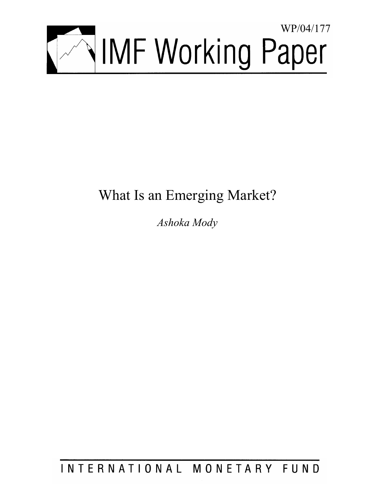

# What Is an Emerging Market?

*Ashoka Mody* 

INTERNATIONAL MONETARY FUND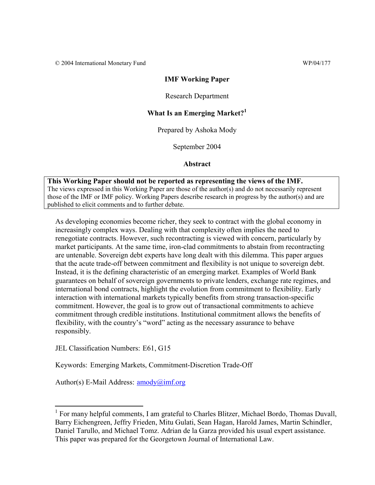# **IMF Working Paper**

### Research Department

# **What Is an Emerging Market?<sup>1</sup>**

Prepared by Ashoka Mody

September 2004

**Abstract**

**This Working Paper should not be reported as representing the views of the IMF.** The views expressed in this Working Paper are those of the author(s) and do not necessarily represent those of the IMF or IMF policy. Working Papers describe research in progress by the author(s) and are published to elicit comments and to further debate.

As developing economies become richer, they seek to contract with the global economy in increasingly complex ways. Dealing with that complexity often implies the need to renegotiate contracts. However, such recontracting is viewed with concern, particularly by market participants. At the same time, iron-clad commitments to abstain from recontracting are untenable. Sovereign debt experts have long dealt with this dilemma. This paper argues that the acute trade-off between commitment and flexibility is not unique to sovereign debt. Instead, it is the defining characteristic of an emerging market. Examples of World Bank guarantees on behalf of sovereign governments to private lenders, exchange rate regimes, and international bond contracts, highlight the evolution from commitment to flexibility. Early interaction with international markets typically benefits from strong transaction-specific commitment. However, the goal is to grow out of transactional commitments to achieve commitment through credible institutions. Institutional commitment allows the benefits of flexibility, with the country's "word" acting as the necessary assurance to behave responsibly.

JEL Classification Numbers: E61, G15

 $\overline{a}$ 

Keywords: Emerging Markets, Commitment-Discretion Trade-Off

Author(s) E-Mail Address: amody@imf.org

<sup>&</sup>lt;sup>1</sup> For many helpful comments, I am grateful to Charles Blitzer, Michael Bordo, Thomas Duvall, Barry Eichengreen, Jeffry Frieden, Mitu Gulati, Sean Hagan, Harold James, Martin Schindler, Daniel Tarullo, and Michael Tomz. Adrian de la Garza provided his usual expert assistance. This paper was prepared for the Georgetown Journal of International Law.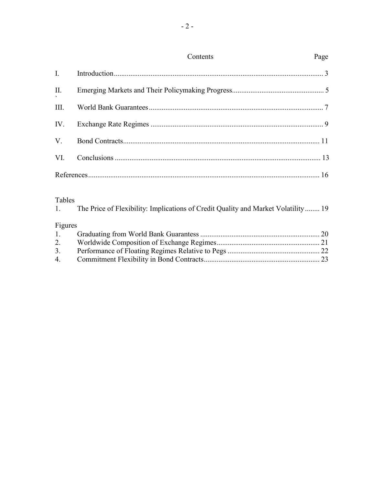|             | Contents | Page |
|-------------|----------|------|
| $I_{\cdot}$ |          |      |
| II.         |          |      |
| III.        |          |      |
|             |          |      |
| $V_{\cdot}$ |          |      |
| VI.         |          |      |
|             |          |      |

# **Tables**

| .<br>1. | The Price of Flexibility: Implications of Credit Quality and Market Volatility 19 |  |
|---------|-----------------------------------------------------------------------------------|--|
| Figures |                                                                                   |  |
| 1.      |                                                                                   |  |
|         |                                                                                   |  |
| 3.      |                                                                                   |  |
| 4.      |                                                                                   |  |
|         |                                                                                   |  |

# Page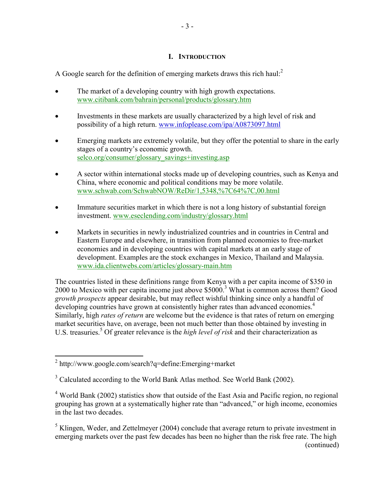# **I. INTRODUCTION**

A Google search for the definition of emerging markets draws this rich haul:<sup>2</sup>

- The market of a developing country with high growth expectations. www.citibank.com/bahrain/personal/products/glossary.htm
- Investments in these markets are usually characterized by a high level of risk and possibility of a high return. www.infoplease.com/ipa/A0873097.html
- Emerging markets are extremely volatile, but they offer the potential to share in the early stages of a country's economic growth. selco.org/consumer/glossary\_savings+investing.asp
- A sector within international stocks made up of developing countries, such as Kenya and China, where economic and political conditions may be more volatile. www.schwab.com/SchwabNOW/ReDir/1,5348,%7C64%7C,00.html
- Immature securities market in which there is not a long history of substantial foreign investment. www.eseclending.com/industry/glossary.html
- Markets in securities in newly industrialized countries and in countries in Central and Eastern Europe and elsewhere, in transition from planned economies to free-market economies and in developing countries with capital markets at an early stage of development. Examples are the stock exchanges in Mexico, Thailand and Malaysia. www.ida.clientwebs.com/articles/glossary-main.htm

The countries listed in these definitions range from Kenya with a per capita income of \$350 in 2000 to Mexico with per capita income just above \$5000.<sup>3</sup> What is common across them? Good *growth prospects* appear desirable, but may reflect wishful thinking since only a handful of developing countries have grown at consistently higher rates than advanced economies.<sup>4</sup> Similarly, high *rates of return* are welcome but the evidence is that rates of return on emerging market securities have, on average, been not much better than those obtained by investing in U.S. treasuries.<sup>5</sup> Of greater relevance is the *high level of risk* and their characterization as

 2 <http://www.google.com/search?q=define:Emerging+market>

<sup>&</sup>lt;sup>3</sup> Calculated according to the World Bank Atlas method. See World Bank (2002).

<sup>&</sup>lt;sup>4</sup> World Bank (2002) statistics show that outside of the East Asia and Pacific region, no regional grouping has grown at a systematically higher rate than "advanced," or high income, economies in the last two decades.

 $<sup>5</sup>$  Klingen, Weder, and Zettelmeyer (2004) conclude that average return to private investment in</sup> emerging markets over the past few decades has been no higher than the risk free rate. The high (continued)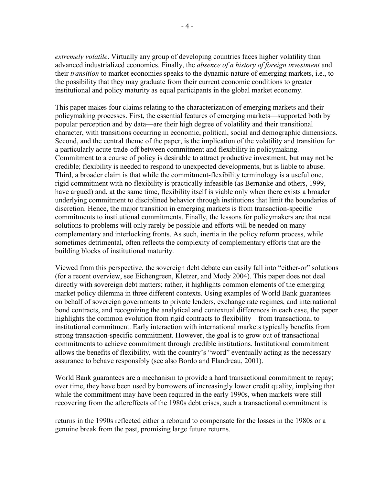*extremely volatile*. Virtually any group of developing countries faces higher volatility than advanced industrialized economies. Finally, the *absence of a history of foreign investment* and their *transition* to market economies speaks to the dynamic nature of emerging markets, i.e., to the possibility that they may graduate from their current economic conditions to greater institutional and policy maturity as equal participants in the global market economy.

This paper makes four claims relating to the characterization of emerging markets and their policymaking processes. First, the essential features of emerging markets—supported both by popular perception and by data—are their high degree of volatility and their transitional character, with transitions occurring in economic, political, social and demographic dimensions. Second, and the central theme of the paper, is the implication of the volatility and transition for a particularly acute trade-off between commitment and flexibility in policymaking. Commitment to a course of policy is desirable to attract productive investment, but may not be credible; flexibility is needed to respond to unexpected developments, but is liable to abuse. Third, a broader claim is that while the commitment-flexibility terminology is a useful one, rigid commitment with no flexibility is practically infeasible (as Bernanke and others, 1999, have argued) and, at the same time, flexibility itself is viable only when there exists a broader underlying commitment to disciplined behavior through institutions that limit the boundaries of discretion. Hence, the major transition in emerging markets is from transaction-specific commitments to institutional commitments. Finally, the lessons for policymakers are that neat solutions to problems will only rarely be possible and efforts will be needed on many complementary and interlocking fronts. As such, inertia in the policy reform process, while sometimes detrimental, often reflects the complexity of complementary efforts that are the building blocks of institutional maturity.

Viewed from this perspective, the sovereign debt debate can easily fall into "either-or" solutions (for a recent overview, see Eichengreen, Kletzer, and Mody 2004). This paper does not deal directly with sovereign debt matters; rather, it highlights common elements of the emerging market policy dilemma in three different contexts. Using examples of World Bank guarantees on behalf of sovereign governments to private lenders, exchange rate regimes, and international bond contracts, and recognizing the analytical and contextual differences in each case, the paper highlights the common evolution from rigid contracts to flexibility—from transactional to institutional commitment. Early interaction with international markets typically benefits from strong transaction-specific commitment. However, the goal is to grow out of transactional commitments to achieve commitment through credible institutions. Institutional commitment allows the benefits of flexibility, with the country's "word" eventually acting as the necessary assurance to behave responsibly (see also Bordo and Flandreau, 2001).

World Bank guarantees are a mechanism to provide a hard transactional commitment to repay; over time, they have been used by borrowers of increasingly lower credit quality, implying that while the commitment may have been required in the early 1990s, when markets were still recovering from the aftereffects of the 1980s debt crises, such a transactional commitment is

returns in the 1990s reflected either a rebound to compensate for the losses in the 1980s or a genuine break from the past, promising large future returns.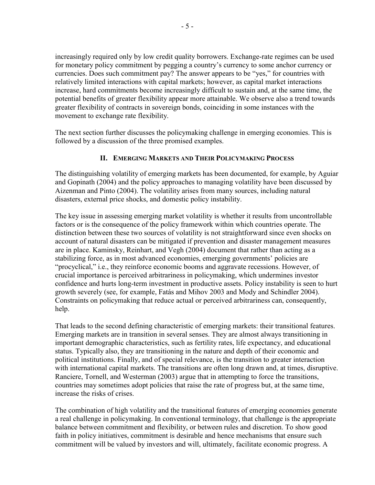increasingly required only by low credit quality borrowers. Exchange-rate regimes can be used for monetary policy commitment by pegging a country's currency to some anchor currency or currencies. Does such commitment pay? The answer appears to be "yes," for countries with relatively limited interactions with capital markets; however, as capital market interactions increase, hard commitments become increasingly difficult to sustain and, at the same time, the potential benefits of greater flexibility appear more attainable. We observe also a trend towards greater flexibility of contracts in sovereign bonds, coinciding in some instances with the movement to exchange rate flexibility.

The next section further discusses the policymaking challenge in emerging economies. This is followed by a discussion of the three promised examples.

# **II. EMERGING MARKETS AND THEIR POLICYMAKING PROCESS**

The distinguishing volatility of emerging markets has been documented, for example, by Aguiar and Gopinath (2004) and the policy approaches to managing volatility have been discussed by Aizenman and Pinto (2004). The volatility arises from many sources, including natural disasters, external price shocks, and domestic policy instability.

The key issue in assessing emerging market volatility is whether it results from uncontrollable factors or is the consequence of the policy framework within which countries operate. The distinction between these two sources of volatility is not straightforward since even shocks on account of natural disasters can be mitigated if prevention and disaster management measures are in place. Kaminsky, Reinhart, and Vegh (2004) document that rather than acting as a stabilizing force, as in most advanced economies, emerging governments' policies are "procyclical," i.e., they reinforce economic booms and aggravate recessions. However, of crucial importance is perceived arbitrariness in policymaking, which undermines investor confidence and hurts long-term investment in productive assets. Policy instability is seen to hurt growth severely (see, for example, Fatás and Mihov 2003 and Mody and Schindler 2004). Constraints on policymaking that reduce actual or perceived arbitrariness can, consequently, help.

That leads to the second defining characteristic of emerging markets: their transitional features. Emerging markets are in transition in several senses. They are almost always transitioning in important demographic characteristics, such as fertility rates, life expectancy, and educational status. Typically also, they are transitioning in the nature and depth of their economic and political institutions. Finally, and of special relevance, is the transition to greater interaction with international capital markets. The transitions are often long drawn and, at times, disruptive. Ranciere, Tornell, and Westerman (2003) argue that in attempting to force the transitions, countries may sometimes adopt policies that raise the rate of progress but, at the same time, increase the risks of crises.

The combination of high volatility and the transitional features of emerging economies generate a real challenge in policymaking. In conventional terminology, that challenge is the appropriate balance between commitment and flexibility, or between rules and discretion. To show good faith in policy initiatives, commitment is desirable and hence mechanisms that ensure such commitment will be valued by investors and will, ultimately, facilitate economic progress. A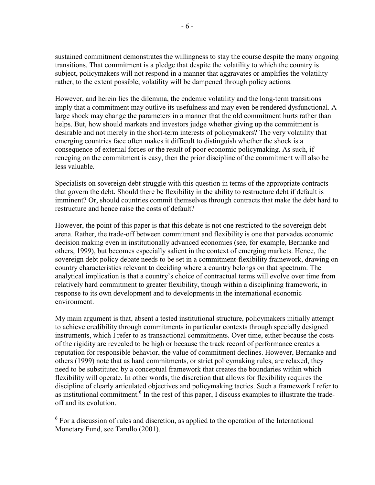sustained commitment demonstrates the willingness to stay the course despite the many ongoing transitions. That commitment is a pledge that despite the volatility to which the country is subject, policymakers will not respond in a manner that aggravates or amplifies the volatility rather, to the extent possible, volatility will be dampened through policy actions.

However, and herein lies the dilemma, the endemic volatility and the long-term transitions imply that a commitment may outlive its usefulness and may even be rendered dysfunctional. A large shock may change the parameters in a manner that the old commitment hurts rather than helps. But, how should markets and investors judge whether giving up the commitment is desirable and not merely in the short-term interests of policymakers? The very volatility that emerging countries face often makes it difficult to distinguish whether the shock is a consequence of external forces or the result of poor economic policymaking. As such, if reneging on the commitment is easy, then the prior discipline of the commitment will also be less valuable.

Specialists on sovereign debt struggle with this question in terms of the appropriate contracts that govern the debt. Should there be flexibility in the ability to restructure debt if default is imminent? Or, should countries commit themselves through contracts that make the debt hard to restructure and hence raise the costs of default?

However, the point of this paper is that this debate is not one restricted to the sovereign debt arena. Rather, the trade-off between commitment and flexibility is one that pervades economic decision making even in institutionally advanced economies (see, for example, Bernanke and others, 1999), but becomes especially salient in the context of emerging markets. Hence, the sovereign debt policy debate needs to be set in a commitment-flexibility framework, drawing on country characteristics relevant to deciding where a country belongs on that spectrum. The analytical implication is that a country's choice of contractual terms will evolve over time from relatively hard commitment to greater flexibility, though within a disciplining framework, in response to its own development and to developments in the international economic environment.

My main argument is that, absent a tested institutional structure, policymakers initially attempt to achieve credibility through commitments in particular contexts through specially designed instruments, which I refer to as transactional commitments. Over time, either because the costs of the rigidity are revealed to be high or because the track record of performance creates a reputation for responsible behavior, the value of commitment declines. However, Bernanke and others (1999) note that as hard commitments, or strict policymaking rules, are relaxed, they need to be substituted by a conceptual framework that creates the boundaries within which flexibility will operate. In other words, the discretion that allows for flexibility requires the discipline of clearly articulated objectives and policymaking tactics. Such a framework I refer to as institutional commitment.<sup>6</sup> In the rest of this paper, I discuss examples to illustrate the tradeoff and its evolution.

 $6$  For a discussion of rules and discretion, as applied to the operation of the International Monetary Fund, see Tarullo (2001).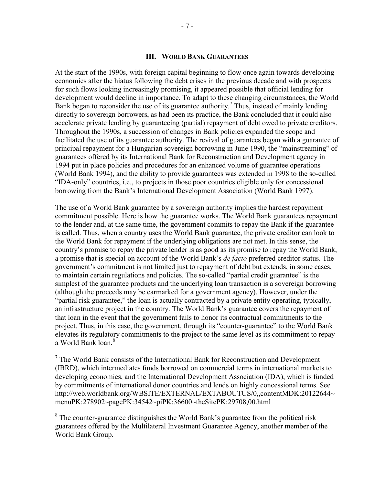#### **III. WORLD BANK GUARANTEES**

At the start of the 1990s, with foreign capital beginning to flow once again towards developing economies after the hiatus following the debt crises in the previous decade and with prospects for such flows looking increasingly promising, it appeared possible that official lending for development would decline in importance. To adapt to these changing circumstances, the World Bank began to reconsider the use of its guarantee authority.<sup>7</sup> Thus, instead of mainly lending directly to sovereign borrowers, as had been its practice, the Bank concluded that it could also accelerate private lending by guaranteeing (partial) repayment of debt owed to private creditors. Throughout the 1990s, a succession of changes in Bank policies expanded the scope and facilitated the use of its guarantee authority. The revival of guarantees began with a guarantee of principal repayment for a Hungarian sovereign borrowing in June 1990, the "mainstreaming" of guarantees offered by its International Bank for Reconstruction and Development agency in 1994 put in place policies and procedures for an enhanced volume of guarantee operations (World Bank 1994), and the ability to provide guarantees was extended in 1998 to the so-called "IDA-only" countries, i.e., to projects in those poor countries eligible only for concessional borrowing from the Bank's International Development Association (World Bank 1997).

The use of a World Bank guarantee by a sovereign authority implies the hardest repayment commitment possible. Here is how the guarantee works. The World Bank guarantees repayment to the lender and, at the same time, the government commits to repay the Bank if the guarantee is called. Thus, when a country uses the World Bank guarantee, the private creditor can look to the World Bank for repayment if the underlying obligations are not met. In this sense, the country's promise to repay the private lender is as good as its promise to repay the World Bank, a promise that is special on account of the World Bank's *de facto* preferred creditor status. The government's commitment is not limited just to repayment of debt but extends, in some cases, to maintain certain regulations and policies. The so-called "partial credit guarantee" is the simplest of the guarantee products and the underlying loan transaction is a sovereign borrowing (although the proceeds may be earmarked for a government agency). However, under the "partial risk guarantee," the loan is actually contracted by a private entity operating, typically, an infrastructure project in the country. The World Bank's guarantee covers the repayment of that loan in the event that the government fails to honor its contractual commitments to the project. Thus, in this case, the government, through its "counter-guarantee" to the World Bank elevates its regulatory commitments to the project to the same level as its commitment to repay a World Bank loan.<sup>8</sup>

<sup>&</sup>lt;sup>7</sup> The World Bank consists of the International Bank for Reconstruction and Development (IBRD), which intermediates funds borrowed on commercial terms in international markets to developing economies, and the International Development Association (IDA), which is funded by commitments of international donor countries and lends on highly concessional terms. See <http://web.worldbank.org/WBSITE/EXTERNAL/EXTABOUTUS/0,,contentMDK:20122644~> menuPK:278902~pagePK:34542~piPK:36600~theSitePK:29708,00.html

 $8$  The counter-guarantee distinguishes the World Bank's guarantee from the political risk guarantees offered by the Multilateral Investment Guarantee Agency, another member of the World Bank Group.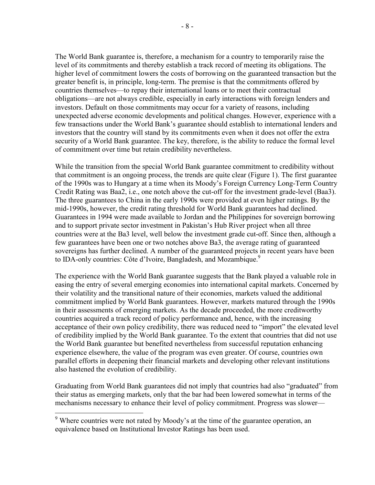The World Bank guarantee is, therefore, a mechanism for a country to temporarily raise the level of its commitments and thereby establish a track record of meeting its obligations. The higher level of commitment lowers the costs of borrowing on the guaranteed transaction but the greater benefit is, in principle, long-term. The premise is that the commitments offered by countries themselves—to repay their international loans or to meet their contractual obligations—are not always credible, especially in early interactions with foreign lenders and investors. Default on those commitments may occur for a variety of reasons, including unexpected adverse economic developments and political changes. However, experience with a few transactions under the World Bank's guarantee should establish to international lenders and investors that the country will stand by its commitments even when it does not offer the extra security of a World Bank guarantee. The key, therefore, is the ability to reduce the formal level of commitment over time but retain credibility nevertheless.

While the transition from the special World Bank guarantee commitment to credibility without that commitment is an ongoing process, the trends are quite clear (Figure 1). The first guarantee of the 1990s was to Hungary at a time when its Moody's Foreign Currency Long-Term Country Credit Rating was Baa2, i.e., one notch above the cut-off for the investment grade-level (Baa3). The three guarantees to China in the early 1990s were provided at even higher ratings. By the mid-1990s, however, the credit rating threshold for World Bank guarantees had declined. Guarantees in 1994 were made available to Jordan and the Philippines for sovereign borrowing and to support private sector investment in Pakistan's Hub River project when all three countries were at the Ba3 level, well below the investment grade cut-off. Since then, although a few guarantees have been one or two notches above Ba3, the average rating of guaranteed sovereigns has further declined. A number of the guaranteed projects in recent years have been to IDA-only countries: Côte d'Ivoire, Bangladesh, and Mozambique.<sup>9</sup>

The experience with the World Bank guarantee suggests that the Bank played a valuable role in easing the entry of several emerging economies into international capital markets. Concerned by their volatility and the transitional nature of their economies, markets valued the additional commitment implied by World Bank guarantees. However, markets matured through the 1990s in their assessments of emerging markets. As the decade proceeded, the more creditworthy countries acquired a track record of policy performance and, hence, with the increasing acceptance of their own policy credibility, there was reduced need to "import" the elevated level of credibility implied by the World Bank guarantee. To the extent that countries that did not use the World Bank guarantee but benefited nevertheless from successful reputation enhancing experience elsewhere, the value of the program was even greater. Of course, countries own parallel efforts in deepening their financial markets and developing other relevant institutions also hastened the evolution of credibility.

Graduating from World Bank guarantees did not imply that countries had also "graduated" from their status as emerging markets, only that the bar had been lowered somewhat in terms of the mechanisms necessary to enhance their level of policy commitment. Progress was slower—

Where countries were not rated by Moody's at the time of the guarantee operation, an equivalence based on Institutional Investor Ratings has been used.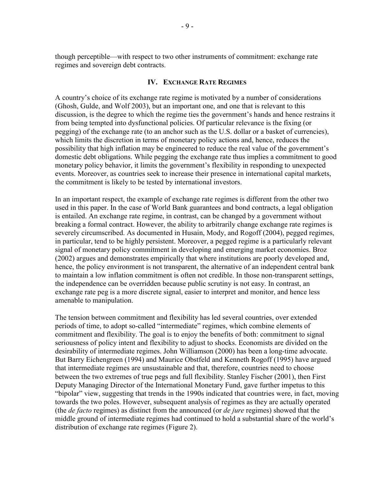though perceptible—with respect to two other instruments of commitment: exchange rate regimes and sovereign debt contracts.

#### **IV. EXCHANGE RATE REGIMES**

A country's choice of its exchange rate regime is motivated by a number of considerations (Ghosh, Gulde, and Wolf 2003), but an important one, and one that is relevant to this discussion, is the degree to which the regime ties the government's hands and hence restrains it from being tempted into dysfunctional policies. Of particular relevance is the fixing (or pegging) of the exchange rate (to an anchor such as the U.S. dollar or a basket of currencies), which limits the discretion in terms of monetary policy actions and, hence, reduces the possibility that high inflation may be engineered to reduce the real value of the government's domestic debt obligations. While pegging the exchange rate thus implies a commitment to good monetary policy behavior, it limits the government's flexibility in responding to unexpected events. Moreover, as countries seek to increase their presence in international capital markets, the commitment is likely to be tested by international investors.

In an important respect, the example of exchange rate regimes is different from the other two used in this paper. In the case of World Bank guarantees and bond contracts, a legal obligation is entailed. An exchange rate regime, in contrast, can be changed by a government without breaking a formal contract. However, the ability to arbitrarily change exchange rate regimes is severely circumscribed. As documented in Husain, Mody, and Rogoff (2004), pegged regimes, in particular, tend to be highly persistent. Moreover, a pegged regime is a particularly relevant signal of monetary policy commitment in developing and emerging market economies. Broz (2002) argues and demonstrates empirically that where institutions are poorly developed and, hence, the policy environment is not transparent, the alternative of an independent central bank to maintain a low inflation commitment is often not credible. In those non-transparent settings, the independence can be overridden because public scrutiny is not easy. In contrast, an exchange rate peg is a more discrete signal, easier to interpret and monitor, and hence less amenable to manipulation.

The tension between commitment and flexibility has led several countries, over extended periods of time, to adopt so-called "intermediate" regimes, which combine elements of commitment and flexibility. The goal is to enjoy the benefits of both: commitment to signal seriousness of policy intent and flexibility to adjust to shocks. Economists are divided on the desirability of intermediate regimes. John Williamson (2000) has been a long-time advocate. But Barry Eichengreen (1994) and Maurice Obstfeld and Kenneth Rogoff (1995) have argued that intermediate regimes are unsustainable and that, therefore, countries need to choose between the two extremes of true pegs and full flexibility. Stanley Fischer (2001), then First Deputy Managing Director of the International Monetary Fund, gave further impetus to this "bipolar" view, suggesting that trends in the 1990s indicated that countries were, in fact, moving towards the two poles. However, subsequent analysis of regimes as they are actually operated (the *de facto* regimes) as distinct from the announced (or *de jure* regimes) showed that the middle ground of intermediate regimes had continued to hold a substantial share of the world's distribution of exchange rate regimes (Figure 2).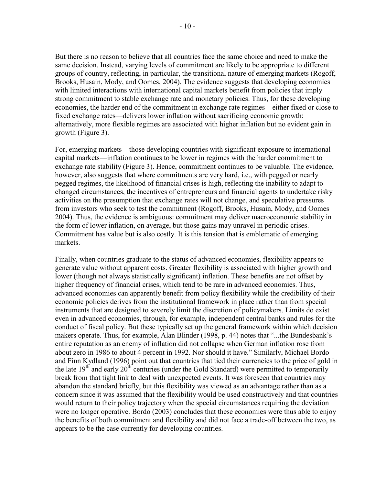But there is no reason to believe that all countries face the same choice and need to make the same decision. Instead, varying levels of commitment are likely to be appropriate to different groups of country, reflecting, in particular, the transitional nature of emerging markets (Rogoff, Brooks, Husain, Mody, and Oomes, 2004). The evidence suggests that developing economies with limited interactions with international capital markets benefit from policies that imply strong commitment to stable exchange rate and monetary policies. Thus, for these developing economies, the harder end of the commitment in exchange rate regimes—either fixed or close to fixed exchange rates—delivers lower inflation without sacrificing economic growth: alternatively, more flexible regimes are associated with higher inflation but no evident gain in growth (Figure 3).

For, emerging markets—those developing countries with significant exposure to international capital markets—inflation continues to be lower in regimes with the harder commitment to exchange rate stability (Figure 3). Hence, commitment continues to be valuable. The evidence, however, also suggests that where commitments are very hard, i.e., with pegged or nearly pegged regimes, the likelihood of financial crises is high, reflecting the inability to adapt to changed circumstances, the incentives of entrepreneurs and financial agents to undertake risky activities on the presumption that exchange rates will not change, and speculative pressures from investors who seek to test the commitment (Rogoff, Brooks, Husain, Mody, and Oomes 2004). Thus, the evidence is ambiguous: commitment may deliver macroeconomic stability in the form of lower inflation, on average, but those gains may unravel in periodic crises. Commitment has value but is also costly. It is this tension that is emblematic of emerging markets.

Finally, when countries graduate to the status of advanced economies, flexibility appears to generate value without apparent costs. Greater flexibility is associated with higher growth and lower (though not always statistically significant) inflation. These benefits are not offset by higher frequency of financial crises, which tend to be rare in advanced economies. Thus, advanced economies can apparently benefit from policy flexibility while the credibility of their economic policies derives from the institutional framework in place rather than from special instruments that are designed to severely limit the discretion of policymakers. Limits do exist even in advanced economies, through, for example, independent central banks and rules for the conduct of fiscal policy. But these typically set up the general framework within which decision makers operate. Thus, for example, Alan Blinder (1998, p. 44) notes that "...the Bundesbank's entire reputation as an enemy of inflation did not collapse when German inflation rose from about zero in 1986 to about 4 percent in 1992. Nor should it have." Similarly, Michael Bordo and Finn Kydland (1996) point out that countries that tied their currencies to the price of gold in the late  $19<sup>th</sup>$  and early  $20<sup>th</sup>$  centuries (under the Gold Standard) were permitted to temporarily break from that tight link to deal with unexpected events. It was foreseen that countries may abandon the standard briefly, but this flexibility was viewed as an advantage rather than as a concern since it was assumed that the flexibility would be used constructively and that countries would return to their policy trajectory when the special circumstances requiring the deviation were no longer operative. Bordo (2003) concludes that these economies were thus able to enjoy the benefits of both commitment and flexibility and did not face a trade-off between the two, as appears to be the case currently for developing countries.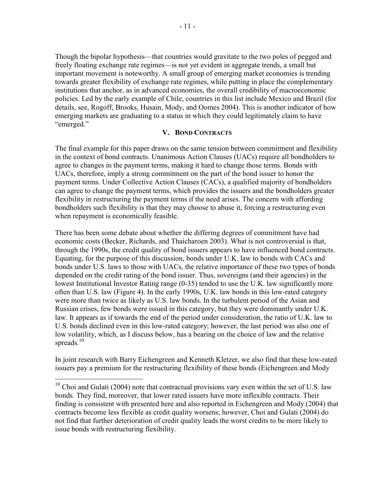Though the bipolar hypothesis—that countries would gravitate to the two poles of pegged and freely floating exchange rate regimes—is not yet evident in aggregate trends, a small but important movement is noteworthy. A small group of emerging market economies is trending towards greater flexibility of exchange rate regimes, while putting in place the complementary institutions that anchor, as in advanced economies, the overall credibility of macroeconomic policies. Led by the early example of Chile, countries in this list include Mexico and Brazil (for details, see, Rogoff, Brooks, Husain, Mody, and Oomes 2004). This is another indicator of how emerging markets are graduating to a status in which they could legitimately claim to have "emerged."

#### **V. BOND CONTRACTS**

The final example for this paper draws on the same tension between commitment and flexibility in the context of bond contracts. Unanimous Action Clauses (UACs) require all bondholders to agree to changes in the payment terms, making it hard to change those terms. Bonds with UACs, therefore, imply a strong commitment on the part of the bond issuer to honor the payment terms. Under Collective Action Clauses (CACs), a qualified majority of bondholders can agree to change the payment terms, which provides the issuers and the bondholders greater flexibility in restructuring the payment terms if the need arises. The concern with affording bondholders such flexibility is that they may choose to abuse it, forcing a restructuring even when repayment is economically feasible.

There has been some debate about whether the differing degrees of commitment have had economic costs (Becker, Richards, and Thaicharoen 2003). What is not controversial is that, through the 1990s, the credit quality of bond issuers appears to have influenced bond contracts. Equating, for the purpose of this discussion, bonds under U.K. law to bonds with CACs and bonds under U.S. laws to those with UACs, the relative importance of these two types of bonds depended on the credit rating of the bond issuer. Thus, sovereigns (and their agencies) in the lowest Institutional Investor Rating range (0-35) tended to use the U.K. law significantly more often than U.S. law (Figure 4). In the early 1990s, U.K. law bonds in this low-rated category were more than twice as likely as U.S. law bonds. In the turbulent period of the Asian and Russian crises, few bonds were issued in this category, but they were dominantly under U.K. law. It appears as if towards the end of the period under consideration, the ratio of U.K. law to U.S. bonds declined even in this low-rated category; however, the last period was also one of low volatility, which, as I discuss below, has a bearing on the choice of law and the relative spreads.<sup>10</sup>

In joint research with Barry Eichengreen and Kenneth Kletzer, we also find that these low-rated issuers pay a premium for the restructuring flexibility of these bonds (Eichengreen and Mody

 $10$  Choi and Gulati (2004) note that contractual provisions vary even within the set of U.S. law bonds. They find, moreover, that lower rated issuers have more inflexible contracts. Their finding is consistent with presented here and also reported in Eichengreen and Mody (2004) that contracts become less flexible as credit quality worsens; however, Choi and Gulati (2004) do not find that further deterioration of credit quality leads the worst credits to be more likely to issue bonds with restructuring flexibility.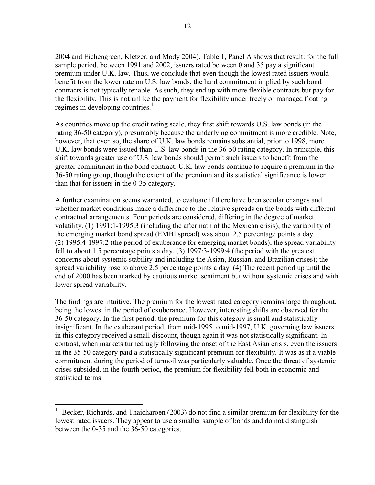2004 and Eichengreen, Kletzer, and Mody 2004). Table 1, Panel A shows that result: for the full sample period, between 1991 and 2002, issuers rated between 0 and 35 pay a significant premium under U.K. law. Thus, we conclude that even though the lowest rated issuers would benefit from the lower rate on U.S. law bonds, the hard commitment implied by such bond contracts is not typically tenable. As such, they end up with more flexible contracts but pay for the flexibility. This is not unlike the payment for flexibility under freely or managed floating regimes in developing countries. $11$ 

As countries move up the credit rating scale, they first shift towards U.S. law bonds (in the rating 36-50 category), presumably because the underlying commitment is more credible. Note, however, that even so, the share of U.K. law bonds remains substantial, prior to 1998, more U.K. law bonds were issued than U.S. law bonds in the 36-50 rating category. In principle, this shift towards greater use of U.S. law bonds should permit such issuers to benefit from the greater commitment in the bond contract. U.K. law bonds continue to require a premium in the 36-50 rating group, though the extent of the premium and its statistical significance is lower than that for issuers in the 0-35 category.

A further examination seems warranted, to evaluate if there have been secular changes and whether market conditions make a difference to the relative spreads on the bonds with different contractual arrangements. Four periods are considered, differing in the degree of market volatility. (1) 1991:1-1995:3 (including the aftermath of the Mexican crisis); the variability of the emerging market bond spread (EMBI spread) was about 2.5 percentage points a day. (2) 1995:4-1997:2 (the period of exuberance for emerging market bonds); the spread variability fell to about 1.5 percentage points a day. (3) 1997:3-1999:4 (the period with the greatest concerns about systemic stability and including the Asian, Russian, and Brazilian crises); the spread variability rose to above 2.5 percentage points a day. (4) The recent period up until the end of 2000 has been marked by cautious market sentiment but without systemic crises and with lower spread variability.

The findings are intuitive. The premium for the lowest rated category remains large throughout, being the lowest in the period of exuberance. However, interesting shifts are observed for the 36-50 category. In the first period, the premium for this category is small and statistically insignificant. In the exuberant period, from mid-1995 to mid-1997, U.K. governing law issuers in this category received a small discount, though again it was not statistically significant. In contrast, when markets turned ugly following the onset of the East Asian crisis, even the issuers in the 35-50 category paid a statistically significant premium for flexibility. It was as if a viable commitment during the period of turmoil was particularly valuable. Once the threat of systemic crises subsided, in the fourth period, the premium for flexibility fell both in economic and statistical terms.

 $11$  Becker, Richards, and Thaicharoen (2003) do not find a similar premium for flexibility for the lowest rated issuers. They appear to use a smaller sample of bonds and do not distinguish between the 0-35 and the 36-50 categories.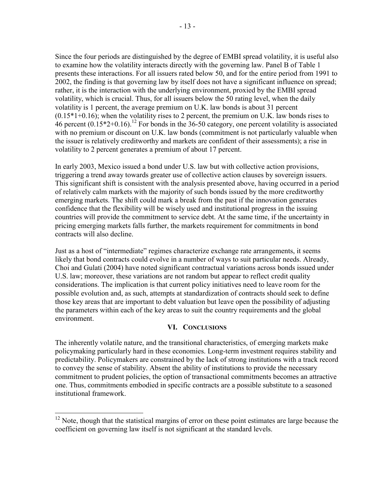Since the four periods are distinguished by the degree of EMBI spread volatility, it is useful also to examine how the volatility interacts directly with the governing law. Panel B of Table 1 presents these interactions. For all issuers rated below 50, and for the entire period from 1991 to 2002, the finding is that governing law by itself does not have a significant influence on spread; rather, it is the interaction with the underlying environment, proxied by the EMBI spread volatility, which is crucial. Thus, for all issuers below the 50 rating level, when the daily volatility is 1 percent, the average premium on U.K. law bonds is about 31 percent  $(0.15*1+0.16)$ ; when the volatility rises to 2 percent, the premium on U.K. law bonds rises to 46 percent  $(0.15^*2+0.16)$ .<sup>12</sup> For bonds in the 36-50 category, one percent volatility is associated with no premium or discount on U.K. law bonds (commitment is not particularly valuable when the issuer is relatively creditworthy and markets are confident of their assessments); a rise in volatility to 2 percent generates a premium of about 17 percent.

In early 2003, Mexico issued a bond under U.S. law but with collective action provisions, triggering a trend away towards greater use of collective action clauses by sovereign issuers. This significant shift is consistent with the analysis presented above, having occurred in a period of relatively calm markets with the majority of such bonds issued by the more creditworthy emerging markets. The shift could mark a break from the past if the innovation generates confidence that the flexibility will be wisely used and institutional progress in the issuing countries will provide the commitment to service debt. At the same time, if the uncertainty in pricing emerging markets falls further, the markets requirement for commitments in bond contracts will also decline.

Just as a host of "intermediate" regimes characterize exchange rate arrangements, it seems likely that bond contracts could evolve in a number of ways to suit particular needs. Already, Choi and Gulati (2004) have noted significant contractual variations across bonds issued under U.S. law; moreover, these variations are not random but appear to reflect credit quality considerations. The implication is that current policy initiatives need to leave room for the possible evolution and, as such, attempts at standardization of contracts should seek to define those key areas that are important to debt valuation but leave open the possibility of adjusting the parameters within each of the key areas to suit the country requirements and the global environment.

# **VI. CONCLUSIONS**

The inherently volatile nature, and the transitional characteristics, of emerging markets make policymaking particularly hard in these economies. Long-term investment requires stability and predictability. Policymakers are constrained by the lack of strong institutions with a track record to convey the sense of stability. Absent the ability of institutions to provide the necessary commitment to prudent policies, the option of transactional commitments becomes an attractive one. Thus, commitments embodied in specific contracts are a possible substitute to a seasoned institutional framework.

 $12$  Note, though that the statistical margins of error on these point estimates are large because the coefficient on governing law itself is not significant at the standard levels.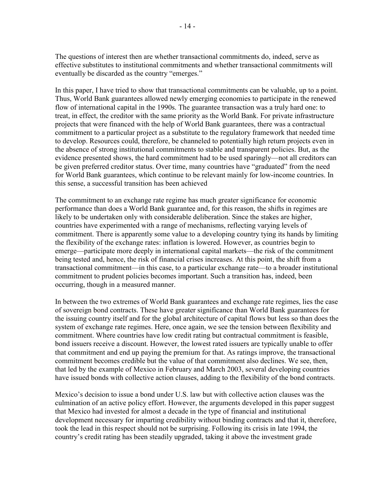The questions of interest then are whether transactional commitments do, indeed, serve as effective substitutes to institutional commitments and whether transactional commitments will eventually be discarded as the country "emerges."

In this paper, I have tried to show that transactional commitments can be valuable, up to a point. Thus, World Bank guarantees allowed newly emerging economies to participate in the renewed flow of international capital in the 1990s. The guarantee transaction was a truly hard one: to treat, in effect, the creditor with the same priority as the World Bank. For private infrastructure projects that were financed with the help of World Bank guarantees, there was a contractual commitment to a particular project as a substitute to the regulatory framework that needed time to develop. Resources could, therefore, be channeled to potentially high return projects even in the absence of strong institutional commitments to stable and transparent policies. But, as the evidence presented shows, the hard commitment had to be used sparingly—not all creditors can be given preferred creditor status. Over time, many countries have "graduated" from the need for World Bank guarantees, which continue to be relevant mainly for low-income countries. In this sense, a successful transition has been achieved

The commitment to an exchange rate regime has much greater significance for economic performance than does a World Bank guarantee and, for this reason, the shifts in regimes are likely to be undertaken only with considerable deliberation. Since the stakes are higher, countries have experimented with a range of mechanisms, reflecting varying levels of commitment. There is apparently some value to a developing country tying its hands by limiting the flexibility of the exchange rates: inflation is lowered. However, as countries begin to emerge—participate more deeply in international capital markets—the risk of the commitment being tested and, hence, the risk of financial crises increases. At this point, the shift from a transactional commitment—in this case, to a particular exchange rate—to a broader institutional commitment to prudent policies becomes important. Such a transition has, indeed, been occurring, though in a measured manner.

In between the two extremes of World Bank guarantees and exchange rate regimes, lies the case of sovereign bond contracts. These have greater significance than World Bank guarantees for the issuing country itself and for the global architecture of capital flows but less so than does the system of exchange rate regimes. Here, once again, we see the tension between flexibility and commitment. Where countries have low credit rating but contractual commitment is feasible, bond issuers receive a discount. However, the lowest rated issuers are typically unable to offer that commitment and end up paying the premium for that. As ratings improve, the transactional commitment becomes credible but the value of that commitment also declines. We see, then, that led by the example of Mexico in February and March 2003, several developing countries have issued bonds with collective action clauses, adding to the flexibility of the bond contracts.

Mexico's decision to issue a bond under U.S. law but with collective action clauses was the culmination of an active policy effort. However, the arguments developed in this paper suggest that Mexico had invested for almost a decade in the type of financial and institutional development necessary for imparting credibility without binding contracts and that it, therefore, took the lead in this respect should not be surprising. Following its crisis in late 1994, the country's credit rating has been steadily upgraded, taking it above the investment grade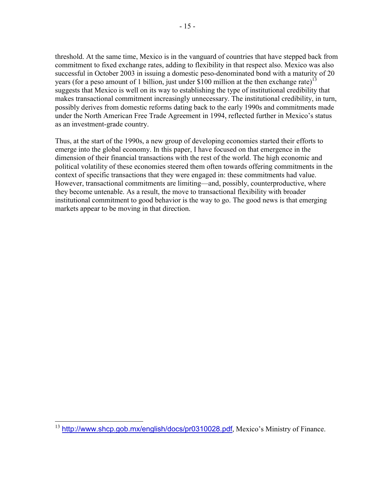threshold. At the same time, Mexico is in the vanguard of countries that have stepped back from commitment to fixed exchange rates, adding to flexibility in that respect also. Mexico was also successful in October 2003 in issuing a domestic peso-denominated bond with a maturity of 20 years (for a peso amount of 1 billion, just under \$100 million at the then exchange rate)<sup>13</sup> suggests that Mexico is well on its way to establishing the type of institutional credibility that makes transactional commitment increasingly unnecessary. The institutional credibility, in turn, possibly derives from domestic reforms dating back to the early 1990s and commitments made under the North American Free Trade Agreement in 1994, reflected further in Mexico's status as an investment-grade country.

Thus, at the start of the 1990s, a new group of developing economies started their efforts to emerge into the global economy. In this paper, I have focused on that emergence in the dimension of their financial transactions with the rest of the world. The high economic and political volatility of these economies steered them often towards offering commitments in the context of specific transactions that they were engaged in: these commitments had value. However, transactional commitments are limiting—and, possibly, counterproductive, where they become untenable. As a result, the move to transactional flexibility with broader institutional commitment to good behavior is the way to go. The good news is that emerging markets appear to be moving in that direction.

1

<sup>&</sup>lt;sup>13</sup> <http://www.shcp.gob.mx/english/docs/pr0310028.pdf>, Mexico's Ministry of Finance.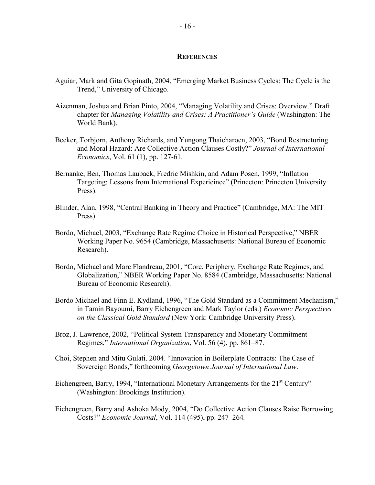#### **REFERENCES**

- Aguiar, Mark and Gita Gopinath, 2004, "Emerging Market Business Cycles: The Cycle is the Trend," University of Chicago.
- Aizenman, Joshua and Brian Pinto, 2004, "Managing Volatility and Crises: Overview." Draft chapter for *Managing Volatility and Crises: A Practitioner's Guide* (Washington: The World Bank).
- Becker, Torbjorn, Anthony Richards, and Yungong Thaicharoen, 2003, "Bond Restructuring and Moral Hazard: Are Collective Action Clauses Costly?" *Journal of International Economics*, Vol. 61 (1), pp. 127-61.
- Bernanke, Ben, Thomas Lauback, Fredric Mishkin, and Adam Posen, 1999, "Inflation Targeting: Lessons from International Experieince" (Princeton: Princeton University Press).
- Blinder, Alan, 1998, "Central Banking in Theory and Practice" (Cambridge, MA: The MIT Press).
- Bordo, Michael, 2003, "Exchange Rate Regime Choice in Historical Perspective," NBER Working Paper No. 9654 (Cambridge, Massachusetts: National Bureau of Economic Research).
- Bordo, Michael and Marc Flandreau, 2001, "Core, Periphery, Exchange Rate Regimes, and Globalization," NBER Working Paper No. 8584 (Cambridge, Massachusetts: National Bureau of Economic Research).
- Bordo Michael and Finn E. Kydland, 1996, "The Gold Standard as a Commitment Mechanism," in Tamin Bayoumi, Barry Eichengreen and Mark Taylor (eds.) *Economic Perspectives on the Classical Gold Standard* (New York: Cambridge University Press).
- Broz, J. Lawrence, 2002, "Political System Transparency and Monetary Commitment Regimes," *International Organization*, Vol. 56 (4), pp. 861–87.
- Choi, Stephen and Mitu Gulati. 2004. "Innovation in Boilerplate Contracts: The Case of Sovereign Bonds," forthcoming *Georgetown Journal of International Law*.
- Eichengreen, Barry, 1994, "International Monetary Arrangements for the 21<sup>st</sup> Century" (Washington: Brookings Institution).
- Eichengreen, Barry and Ashoka Mody, 2004, "Do Collective Action Clauses Raise Borrowing Costs?" *Economic Journal*, Vol. 114 (495), pp. 247–264*.*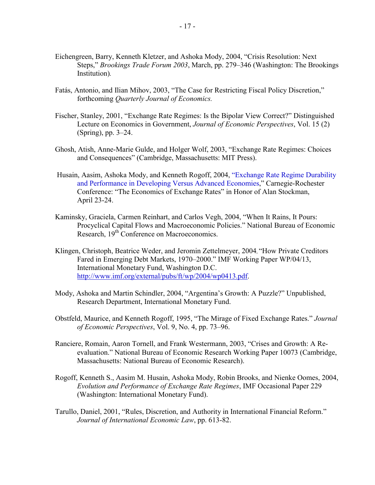- Eichengreen, Barry, Kenneth Kletzer, and Ashoka Mody, 2004, "Crisis Resolution: Next Steps," *Brookings Trade Forum 2003*, March, pp. 279–346 (Washington: The Brookings Institution)*.*
- Fatás, Antonio, and Ilian Mihov, 2003, "The Case for Restricting Fiscal Policy Discretion," forthcoming *Quarterly Journal of Economics.*
- Fischer, Stanley, 2001, "Exchange Rate Regimes: Is the Bipolar View Correct?" Distinguished Lecture on Economics in Government, *Journal of Economic Perspectives*, Vol. 15 (2) (Spring), pp. 3–24.
- Ghosh, Atish, Anne-Marie Gulde, and Holger Wolf, 2003, "Exchange Rate Regimes: Choices and Consequences" (Cambridge, Massachusetts: MIT Press).
- Husain, Aasim, Ashoka Mody, and Kenneth Rogoff, 2004, "Exchange Rate Regime Durability and Performance in Developing Versus Advanced Economies," Carnegie-Rochester Conference: "The Economics of Exchange Rates" in Honor of Alan Stockman, April 23-24.
- Kaminsky, Graciela, Carmen Reinhart, and Carlos Vegh, 2004, "When It Rains, It Pours: Procyclical Capital Flows and Macroeconomic Policies." National Bureau of Economic Research, 19<sup>th</sup> Conference on Macroeconomics.
- Klingen, Christoph, Beatrice Weder, and Jeromin Zettelmeyer, 2004, "How Private Creditors Fared in Emerging Debt Markets, 1970–2000." IMF Working Paper WP/04/13, International Monetary Fund, Washington D.C. [http://www.imf.org/external/pubs/ft/wp/2004/wp0413.pdf.](http://www.imf.org/external/pubs/ft/wp/2004/wp0413.pdf)
- Mody, Ashoka and Martin Schindler, 2004, "Argentina's Growth: A Puzzle?" Unpublished, Research Department, International Monetary Fund.
- Obstfeld, Maurice, and Kenneth Rogoff, 1995, "The Mirage of Fixed Exchange Rates." *Journal of Economic Perspectives*, Vol. 9, No. 4, pp. 73–96.
- Ranciere, Romain, Aaron Tornell, and Frank Westermann, 2003, "Crises and Growth: A Reevaluation." National Bureau of Economic Research Working Paper 10073 (Cambridge, Massachusetts: National Bureau of Economic Research).
- Rogoff, Kenneth S., Aasim M. Husain, Ashoka Mody, Robin Brooks, and Nienke Oomes, 2004, *Evolution and Performance of Exchange Rate Regimes*, IMF Occasional Paper 229 (Washington: International Monetary Fund).
- Tarullo, Daniel, 2001, "Rules, Discretion, and Authority in International Financial Reform." *Journal of International Economic Law*, pp. 613-82.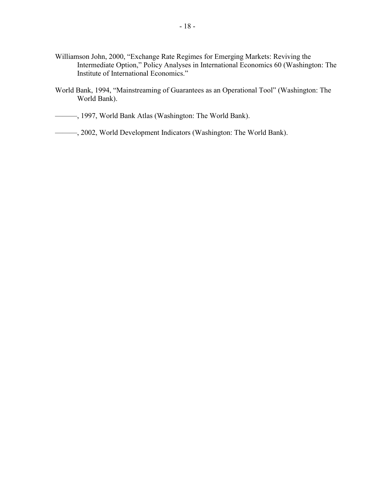- Williamson John, 2000, "Exchange Rate Regimes for Emerging Markets: Reviving the Intermediate Option," Policy Analyses in International Economics 60 (Washington: The Institute of International Economics."
- World Bank, 1994, "Mainstreaming of Guarantees as an Operational Tool" (Washington: The World Bank).
- ———, 1997, World Bank Atlas (Washington: The World Bank).
- ———, 2002, World Development Indicators (Washington: The World Bank).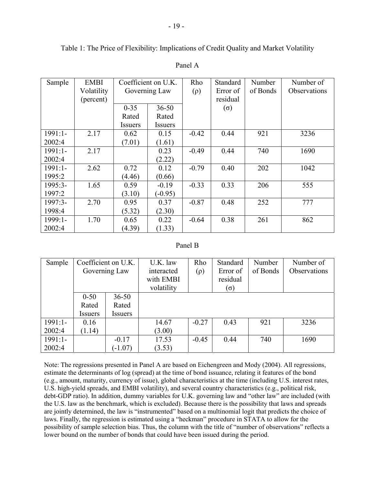Table 1: The Price of Flexibility: Implications of Credit Quality and Market Volatility

| Sample    | <b>EMBI</b> | Coefficient on U.K. |                | Rho      | Standard   | Number   | Number of    |
|-----------|-------------|---------------------|----------------|----------|------------|----------|--------------|
|           | Volatility  | Governing Law       |                | $(\rho)$ | Error of   | of Bonds | Observations |
|           | (percent)   |                     |                |          | residual   |          |              |
|           |             | $0 - 35$            | $36 - 50$      |          | $(\sigma)$ |          |              |
|           |             | Rated               | Rated          |          |            |          |              |
|           |             | <b>Issuers</b>      | <b>Issuers</b> |          |            |          |              |
| 1991:1-   | 2.17        | 0.62                | 0.15           | $-0.42$  | 0.44       | 921      | 3236         |
| 2002:4    |             | (7.01)              | (1.61)         |          |            |          |              |
| $1991:1-$ | 2.17        |                     | 0.23           | $-0.49$  | 0.44       | 740      | 1690         |
| 2002:4    |             |                     | (2.22)         |          |            |          |              |
| $1991:1-$ | 2.62        | 0.72                | 0.12           | $-0.79$  | 0.40       | 202      | 1042         |
| 1995:2    |             | (4.46)              | (0.66)         |          |            |          |              |
| 1995:3-   | 1.65        | 0.59                | $-0.19$        | $-0.33$  | 0.33       | 206      | 555          |
| 1997:2    |             | (3.10)              | $(-0.95)$      |          |            |          |              |
| $1997:3-$ | 2.70        | 0.95                | 0.37           | $-0.87$  | 0.48       | 252      | 777          |
| 1998:4    |             | (5.32)              | (2.30)         |          |            |          |              |
| $1999:1-$ | 1.70        | 0.65                | 0.22           | $-0.64$  | 0.38       | 261      | 862          |
| 2002:4    |             | (4.39)              | (1.33)         |          |            |          |              |

# Panel A

# Panel B

| Sample    | Coefficient on U.K. |                | U.K. law   | Rho      | Standard   | Number   | Number of    |
|-----------|---------------------|----------------|------------|----------|------------|----------|--------------|
|           | Governing Law       |                | interacted | $(\rho)$ | Error of   | of Bonds | Observations |
|           |                     |                | with EMBI  |          | residual   |          |              |
|           |                     |                | volatility |          | $(\sigma)$ |          |              |
|           | $0 - 50$            | $36 - 50$      |            |          |            |          |              |
|           | Rated               | Rated          |            |          |            |          |              |
|           | Issuers             | <b>Issuers</b> |            |          |            |          |              |
| $1991:1-$ | 0.16                |                | 14.67      | $-0.27$  | 0.43       | 921      | 3236         |
| 2002:4    | (1.14)              |                | (3.00)     |          |            |          |              |
| $1991:1-$ |                     | $-0.17$        | 17.53      | $-0.45$  | 0.44       | 740      | 1690         |
| 2002:4    |                     | $(-1.07)$      | (3.53)     |          |            |          |              |

Note: The regressions presented in Panel A are based on Eichengreen and Mody (2004). All regressions, estimate the determinants of log (spread) at the time of bond issuance, relating it features of the bond (e.g., amount, maturity, currency of issue), global characteristics at the time (including U.S. interest rates, U.S. high-yield spreads, and EMBI volatility), and several country characteristics (e.g., political risk, debt-GDP ratio). In addition, dummy variables for U.K. governing law and "other law" are included (with the U.S. law as the benchmark, which is excluded). Because there is the possibility that laws and spreads are jointly determined, the law is "instrumented" based on a multinomial logit that predicts the choice of laws. Finally, the regression is estimated using a "heckman" procedure in STATA to allow for the possibility of sample selection bias. Thus, the column with the title of "number of observations" reflects a lower bound on the number of bonds that could have been issued during the period.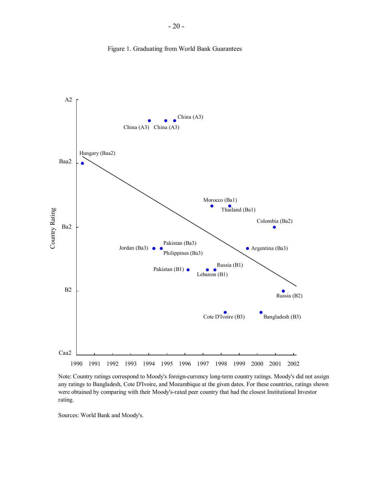

Figure 1. Graduating from World Bank Guarantees

Note: Country ratings correspond to Moody's foreign-currency long-term country ratings. Moody's did not assign any ratings to Bangladesh, Cote D'Ivoire, and Mozambique at the given dates. For these countries, ratings shown were obtained by comparing with their Moody's-rated peer country that had the closest Institutional Investor rating.

Sources: World Bank and Moody's.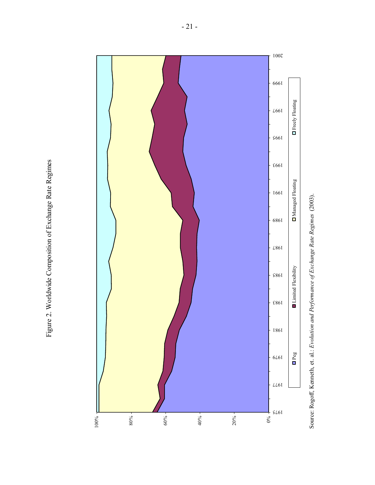

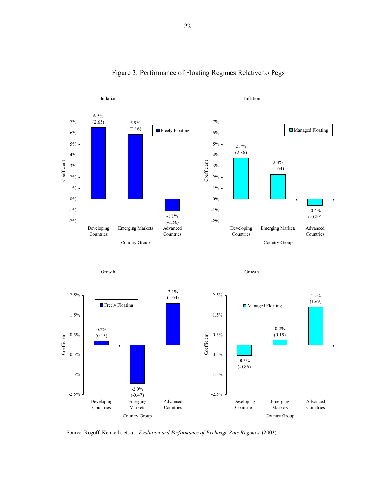

# Figure 3. Performance of Floating Regimes Relative to Pegs

Source: Rogoff, Kenneth, et. al.: *Evolution and Performance of Exchange Rate Regimes* (2003).